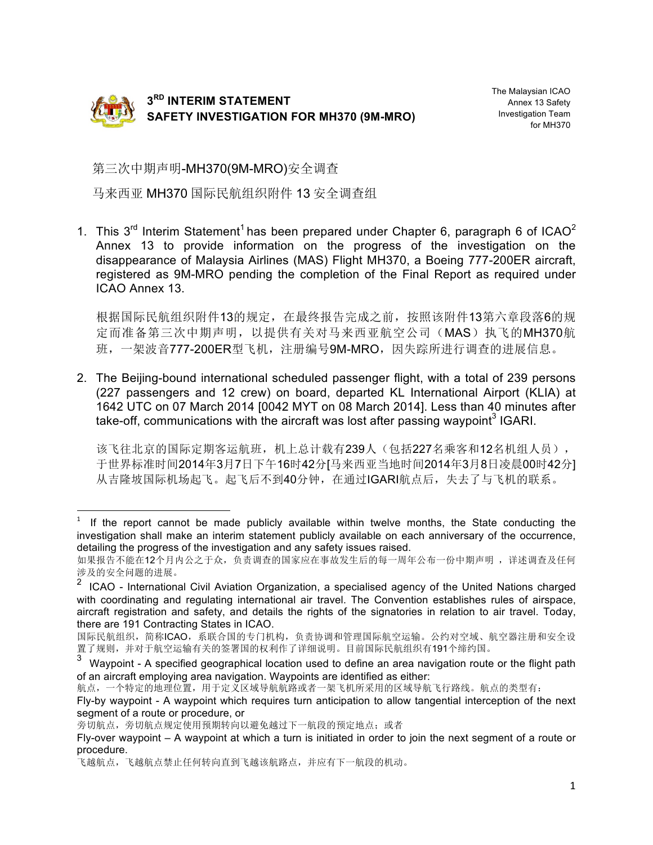

The Malaysian ICAO Annex 13 Safety Investigation Team for MH370

第三次中期声明-MH370(9M-MRO)安全调查

马来西亚 MH370 国际民航组织附件 13 安全调查组

1. This  $3<sup>rd</sup>$  Interim Statement<sup>1</sup> has been prepared under Chapter 6, paragraph 6 of ICAO<sup>2</sup> Annex 13 to provide information on the progress of the investigation on the disappearance of Malaysia Airlines (MAS) Flight MH370, a Boeing 777-200ER aircraft, registered as 9M-MRO pending the completion of the Final Report as required under ICAO Annex 13.

根据国际民航组织附件13的规定,在最终报告完成之前,按照该附件13第六章段落6的规 定而准备第三次中期声明,以提供有关对马来西亚航空公司(MAS)执飞的MH370航 班,一架波音777-200ER型飞机,注册编号9M-MRO,因失踪所进行调查的进展信息。

2. The Beijing-bound international scheduled passenger flight, with a total of 239 persons (227 passengers and 12 crew) on board, departed KL International Airport (KLIA) at 1642 UTC on 07 March 2014 [0042 MYT on 08 March 2014]. Less than 40 minutes after take-off, communications with the aircraft was lost after passing waypoint<sup>3</sup> IGARI.

该飞往北京的国际定期客运航班,机上总计载有239人(包括227名乘客和12名机组人员), 于世界标准时间2014年3月7日下午16时42分[马来西亚当地时间2014年3月8日凌晨00时42分] 从吉隆坡国际机场起飞。起飞后不到40分钟,在通过IGARI航点后,失去了与飞机的联系。

<u> 1989 - Johann Barn, mars ann an t-Amhain an t-Amhain an t-Amhain an t-Amhain an t-Amhain an t-Amhain an t-Amh</u>

 $1$  If the report cannot be made publicly available within twelve months, the State conducting the investigation shall make an interim statement publicly available on each anniversary of the occurrence, detailing the progress of the investigation and any safety issues raised.

如果报告不能在12个月内公之于众,负责调查的国家应在事故发生后的每一周年公布一份中期声明 ,详述调查及任何 涉及的安全问题的进展。

<sup>2</sup> ICAO - International Civil Aviation Organization, a specialised agency of the United Nations charged with coordinating and regulating international air travel. The Convention establishes rules of airspace, aircraft registration and safety, and details the rights of the signatories in relation to air travel. Today, there are 191 Contracting States in ICAO.

国际民航组织,简称ICAO,系联合国的专门机构,负责协调和管理国际航空运输。公约对空域、航空器注册和安全设 置了规则,并对于航空运输有关的签署国的权利作了详细说明。目前国际民航组织有191个缔约国。

Waypoint - A specified geographical location used to define an area navigation route or the flight path of an aircraft employing area navigation. Waypoints are identified as either:

航点,一个特定的地理位置,用于定义区域导航航路或者一架飞机所采用的区域导航飞行路线。航点的类型有:

Fly-by waypoint - A waypoint which requires turn anticipation to allow tangential interception of the next segment of a route or procedure, or

旁切航点,旁切航点规定使用预期转向以避免越过下一航段的预定地点;或者

Fly-over waypoint – A waypoint at which a turn is initiated in order to join the next segment of a route or procedure.

飞越航点,飞越航点禁止任何转向直到飞越该航路点,并应有下一航段的机动。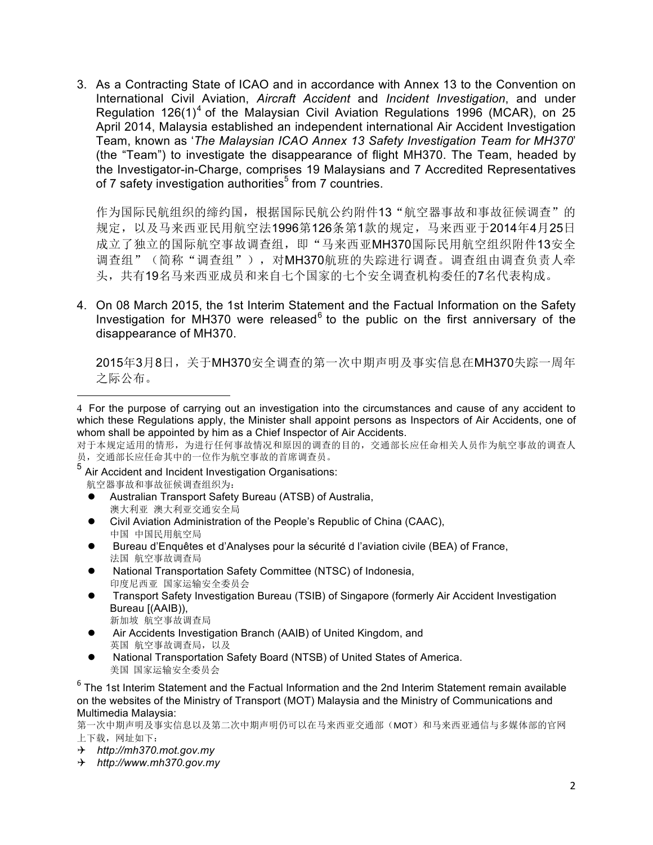3. As a Contracting State of ICAO and in accordance with Annex 13 to the Convention on International Civil Aviation, *Aircraft Accident* and *Incident Investigation*, and under Regulation 126(1)<sup>4</sup> of the Malaysian Civil Aviation Regulations 1996 (MCAR), on 25 April 2014, Malaysia established an independent international Air Accident Investigation Team, known as '*The Malaysian ICAO Annex 13 Safety Investigation Team for MH370*' (the "Team") to investigate the disappearance of flight MH370. The Team, headed by the Investigator-in-Charge, comprises 19 Malaysians and 7 Accredited Representatives of 7 safety investigation authorities<sup>5</sup> from 7 countries.

作为国际民航组织的缔约国,根据国际民航公约附件13"航空器事故和事故征候调查"的 规定,以及马来西亚民用航空法1996第126条第1款的规定,马来西亚于2014年4月25日 成立了独立的国际航空事故调查组,即"马来西亚MH370国际民用航空组织附件13安全 调查组"(简称"调查组"),对MH370航班的失踪进行调查。调查组由调查负责人牵 头,共有19名马来西亚成员和来自七个国家的七个安全调查机构委任的7名代表构成。

4. On 08 March 2015, the 1st Interim Statement and the Factual Information on the Safety Investigation for MH370 were released $6$  to the public on the first anniversary of the disappearance of MH370.

2015年3月8日,关于MH370安全调查的第一次中期声明及事实信息在MH370失踪一周年 之际公布。

<sup>5</sup> Air Accident and Incident Investigation Organisations: 航空器事故和事故征候调查组织为:

<u> 1989 - Johann Barn, mars ann an t-Amhain an t-Amhain an t-Amhain an t-Amhain an t-Amhain an t-Amhain an t-Amh</u>

- Australian Transport Safety Bureau (ATSB) of Australia, 澳大利亚 澳大利亚交通安全局
- l Civil Aviation Administration of the People's Republic of China (CAAC), 中国 中国民用航空局
- Bureau d'Enquêtes et d'Analyses pour la sécurité d l'aviation civile (BEA) of France, 法国 航空事故调查局
- l National Transportation Safety Committee (NTSC) of Indonesia, 印度尼西亚 国家运输安全委员会
- l Transport Safety Investigation Bureau (TSIB) of Singapore (formerly Air Accident Investigation Bureau [(AAIB)), 新加坡 航空事故调查局
- Air Accidents Investigation Branch (AAIB) of United Kingdom, and 英国 航空事故调查局,以及
- National Transportation Safety Board (NTSB) of United States of America. 美国 国家运输安全委员会

 $6$  The 1st Interim Statement and the Factual Information and the 2nd Interim Statement remain available on the websites of the Ministry of Transport (MOT) Malaysia and the Ministry of Communications and Multimedia Malaysia:

第一次中期声明及事实信息以及第二次中期声明仍可以在马来西亚交通部(MOT)和马来西亚通信与多媒体部的官网 上下载,网址如下:

- Q *http://mh370.mot.gov.my*
- Q *http://www.mh370.gov.my*

<sup>4</sup> For the purpose of carrying out an investigation into the circumstances and cause of any accident to which these Regulations apply, the Minister shall appoint persons as Inspectors of Air Accidents, one of whom shall be appointed by him as a Chief Inspector of Air Accidents.

对于本规定适用的情形,为进行任何事故情况和原因的调查的目的,交通部长应任命相关人员作为航空事故的调查人 员,交通部长应任命其中的一位作为航空事故的首席调查员。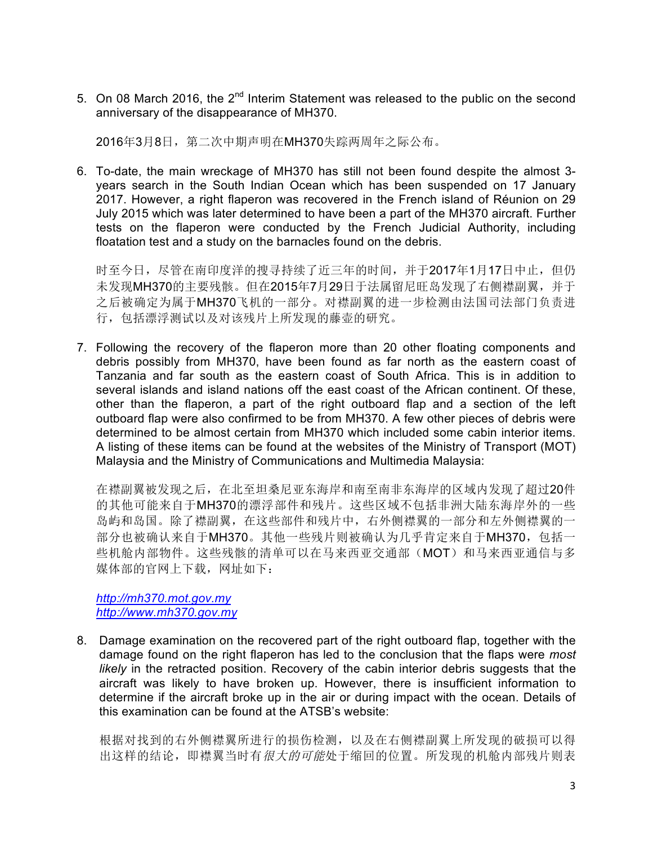5. On 08 March 2016, the  $2^{nd}$  Interim Statement was released to the public on the second anniversary of the disappearance of MH370.

2016年3月8日, 第二次中期声明在MH370失踪两周年之际公布。

6. To-date, the main wreckage of MH370 has still not been found despite the almost 3 years search in the South Indian Ocean which has been suspended on 17 January 2017. However, a right flaperon was recovered in the French island of Réunion on 29 July 2015 which was later determined to have been a part of the MH370 aircraft. Further tests on the flaperon were conducted by the French Judicial Authority, including floatation test and a study on the barnacles found on the debris.

时至今日,尽管在南印度洋的搜寻持续了近三年的时间,并于2017年1月17日中止,但仍 未发现MH370的主要残骸。但在2015年7月29日于法属留尼旺岛发现了右侧襟副翼,并于 之后被确定为属于MH370飞机的一部分。对襟副翼的进一步检测由法国司法部门负责进 行,包括漂浮测试以及对该残片上所发现的藤壶的研究。

7. Following the recovery of the flaperon more than 20 other floating components and debris possibly from MH370, have been found as far north as the eastern coast of Tanzania and far south as the eastern coast of South Africa. This is in addition to several islands and island nations off the east coast of the African continent. Of these, other than the flaperon, a part of the right outboard flap and a section of the left outboard flap were also confirmed to be from MH370. A few other pieces of debris were determined to be almost certain from MH370 which included some cabin interior items. A listing of these items can be found at the websites of the Ministry of Transport (MOT) Malaysia and the Ministry of Communications and Multimedia Malaysia:

在襟副翼被发现之后,在北至坦桑尼亚东海岸和南至南非东海岸的区域内发现了超过20件 的其他可能来自于MH370的漂浮部件和残片。这些区域不包括非洲大陆东海岸外的一些 岛屿和岛国。除了襟副翼,在这些部件和残片中,右外侧襟翼的一部分和左外侧襟翼的一 部分也被确认来自于MH370。其他一些残片则被确认为几乎肯定来自于MH370, 包括一 些机舱内部物件。这些残骸的清单可以在马来西亚交通部(MOT)和马来西亚通信与多 媒体部的官网上下载,网址如下:

*http://mh370.mot.gov.my http://www.mh370.gov.my*

8. Damage examination on the recovered part of the right outboard flap, together with the damage found on the right flaperon has led to the conclusion that the flaps were *most likely* in the retracted position. Recovery of the cabin interior debris suggests that the aircraft was likely to have broken up. However, there is insufficient information to determine if the aircraft broke up in the air or during impact with the ocean. Details of this examination can be found at the ATSB's website:

根据对找到的右外侧襟翼所进行的损伤检测,以及在右侧襟副翼上所发现的破损可以得 出这样的结论,即襟翼当时有很大的可能处于缩回的位置。所发现的机舱内部残片则表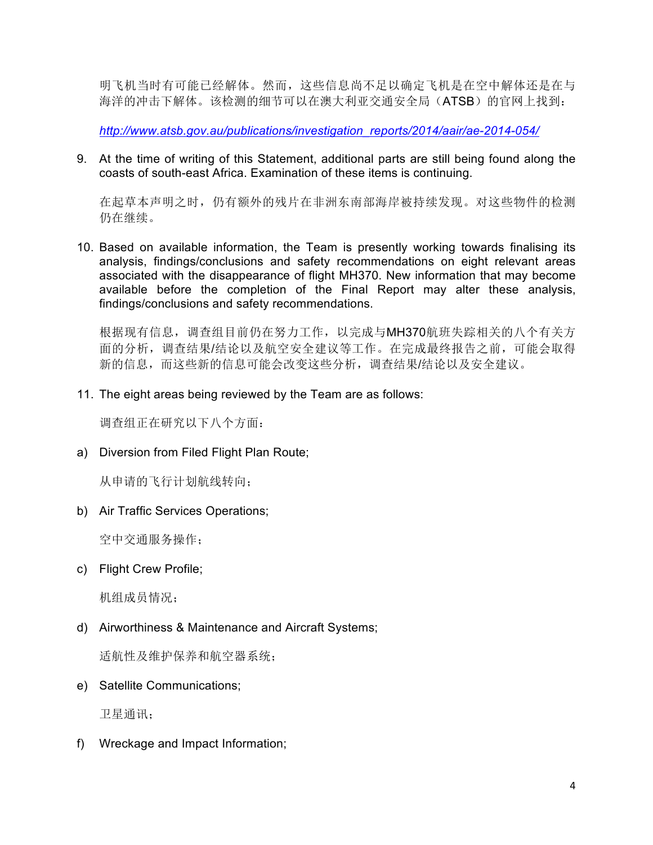明飞机当时有可能已经解体。然而,这些信息尚不足以确定飞机是在空中解体还是在与 海洋的冲击下解体。该检测的细节可以在澳大利亚交通安全局(ATSB)的官网上找到:

*http://www.atsb.gov.au/publications/investigation\_reports/2014/aair/ae-2014-054/*

9. At the time of writing of this Statement, additional parts are still being found along the coasts of south-east Africa. Examination of these items is continuing.

在起草本声明之时,仍有额外的残片在非洲东南部海岸被持续发现。对这些物件的检测 仍在继续。

10. Based on available information, the Team is presently working towards finalising its analysis, findings/conclusions and safety recommendations on eight relevant areas associated with the disappearance of flight MH370. New information that may become available before the completion of the Final Report may alter these analysis, findings/conclusions and safety recommendations.

根据现有信息,调查组目前仍在努力工作, 以完成与MH370航班失踪相关的八个有关方 面的分析,调查结果/结论以及航空安全建议等工作。在完成最终报告之前,可能会取得 新的信息,而这些新的信息可能会改变这些分析,调查结果/结论以及安全建议。

11. The eight areas being reviewed by the Team are as follows:

调查组正在研究以下八个方面:

a) Diversion from Filed Flight Plan Route;

从申请的飞行计划航线转向;

b) Air Traffic Services Operations;

空中交通服务操作;

c) Flight Crew Profile;

机组成员情况;

d) Airworthiness & Maintenance and Aircraft Systems;

适航性及维护保养和航空器系统;

e) Satellite Communications;

卫星通讯;

f) Wreckage and Impact Information;